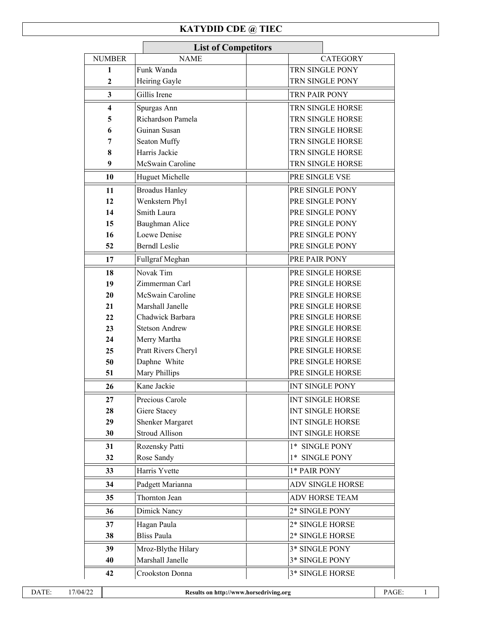## **KATYDID CDE @ TIEC**

|                  | <b>List of Competitors</b>             |                                  |                         |  |  |  |
|------------------|----------------------------------------|----------------------------------|-------------------------|--|--|--|
| <b>NUMBER</b>    | <b>NAME</b>                            |                                  | <b>CATEGORY</b>         |  |  |  |
| 1                | Funk Wanda                             |                                  | TRN SINGLE PONY         |  |  |  |
| $\boldsymbol{2}$ | Heiring Gayle                          |                                  | TRN SINGLE PONY         |  |  |  |
| 3                | Gillis Irene                           |                                  | <b>TRN PAIR PONY</b>    |  |  |  |
| 4                | Spurgas Ann                            |                                  | TRN SINGLE HORSE        |  |  |  |
| 5                | Richardson Pamela                      |                                  | TRN SINGLE HORSE        |  |  |  |
| 6                | Guinan Susan                           |                                  | TRN SINGLE HORSE        |  |  |  |
| 7                | Seaton Muffy                           |                                  | TRN SINGLE HORSE        |  |  |  |
| 8                | Harris Jackie                          |                                  | TRN SINGLE HORSE        |  |  |  |
| 9                | McSwain Caroline                       |                                  | TRN SINGLE HORSE        |  |  |  |
| 10               | Huguet Michelle                        |                                  | PRE SINGLE VSE          |  |  |  |
| 11               | <b>Broadus Hanley</b>                  |                                  | PRE SINGLE PONY         |  |  |  |
| 12               | Wenkstern Phyl                         |                                  | PRE SINGLE PONY         |  |  |  |
| 14               | Smith Laura                            |                                  | PRE SINGLE PONY         |  |  |  |
| 15               | Baughman Alice                         |                                  | PRE SINGLE PONY         |  |  |  |
| 16               | Loewe Denise                           |                                  | PRE SINGLE PONY         |  |  |  |
| 52               | <b>Berndl</b> Leslie                   |                                  | PRE SINGLE PONY         |  |  |  |
| 17               | Fullgraf Meghan                        | PRE PAIR PONY                    |                         |  |  |  |
| 18               | Novak Tim                              |                                  | PRE SINGLE HORSE        |  |  |  |
| 19               | Zimmerman Carl                         |                                  | PRE SINGLE HORSE        |  |  |  |
| 20               | McSwain Caroline                       |                                  | PRE SINGLE HORSE        |  |  |  |
| 21               | Marshall Janelle                       |                                  | PRE SINGLE HORSE        |  |  |  |
| 22               | Chadwick Barbara                       |                                  | PRE SINGLE HORSE        |  |  |  |
| 23               | <b>Stetson Andrew</b>                  |                                  | PRE SINGLE HORSE        |  |  |  |
| 24               | Merry Martha                           |                                  | PRE SINGLE HORSE        |  |  |  |
| 25               | Pratt Rivers Cheryl                    |                                  | PRE SINGLE HORSE        |  |  |  |
| 50               | Daphne White                           |                                  | PRE SINGLE HORSE        |  |  |  |
| 51               | Mary Phillips                          |                                  | PRE SINGLE HORSE        |  |  |  |
| 26               | Kane Jackie                            |                                  | <b>INT SINGLE PONY</b>  |  |  |  |
| 27               | Precious Carole                        |                                  | <b>INT SINGLE HORSE</b> |  |  |  |
| 28               | Giere Stacey                           |                                  | <b>INT SINGLE HORSE</b> |  |  |  |
| 29               | Shenker Margaret                       |                                  | INT SINGLE HORSE        |  |  |  |
| 30               | <b>Stroud Allison</b>                  |                                  | INT SINGLE HORSE        |  |  |  |
| 31               | Rozensky Patti                         |                                  | 1* SINGLE PONY          |  |  |  |
| 32               | Rose Sandy                             | 1* SINGLE PONY                   |                         |  |  |  |
| 33               | Harris Yvette                          | 1* PAIR PONY                     |                         |  |  |  |
| 34               | Padgett Marianna                       |                                  | ADV SINGLE HORSE        |  |  |  |
| 35               | Thornton Jean                          |                                  | ADV HORSE TEAM          |  |  |  |
| 36               | Dimick Nancy                           | 2* SINGLE PONY                   |                         |  |  |  |
| 37               | Hagan Paula                            |                                  | 2* SINGLE HORSE         |  |  |  |
| 38               | <b>Bliss Paula</b>                     |                                  | 2* SINGLE HORSE         |  |  |  |
|                  |                                        |                                  |                         |  |  |  |
| 39<br>40         | Mroz-Blythe Hilary<br>Marshall Janelle | 3* SINGLE PONY<br>3* SINGLE PONY |                         |  |  |  |
|                  |                                        |                                  |                         |  |  |  |
| 42               | Crookston Donna                        |                                  | 3* SINGLE HORSE         |  |  |  |